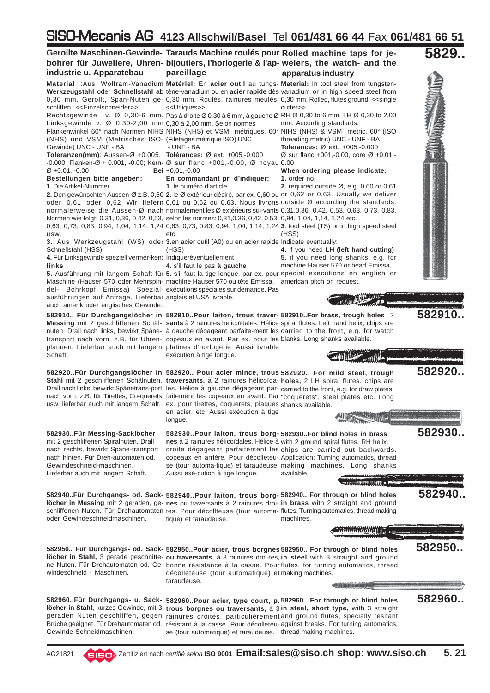## SISO-Mecanis AG **4123 Allschwil/Basel** Tel **061/481 66 44** Fax **061/481 66 51**